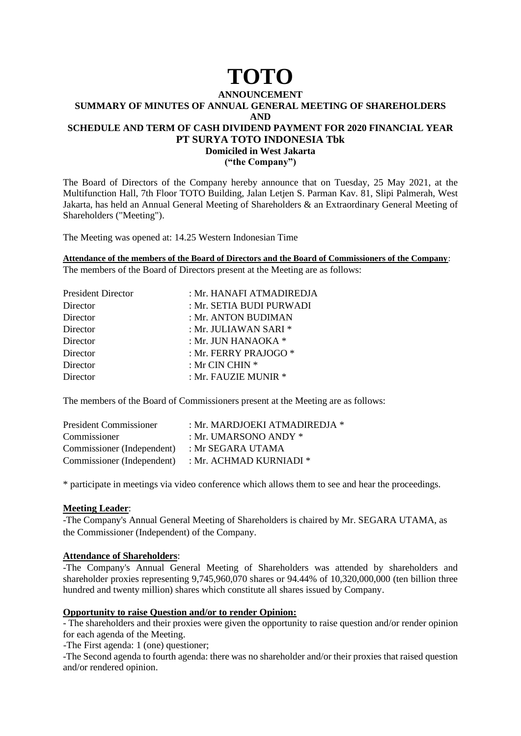# **TOTO**

# **ANNOUNCEMENT SUMMARY OF MINUTES OF ANNUAL GENERAL MEETING OF SHAREHOLDERS AND SCHEDULE AND TERM OF CASH DIVIDEND PAYMENT FOR 2020 FINANCIAL YEAR PT SURYA TOTO INDONESIA Tbk Domiciled in West Jakarta**

**("the Company")**

The Board of Directors of the Company hereby announce that on Tuesday, 25 May 2021, at the Multifunction Hall, 7th Floor TOTO Building, Jalan Letjen S. Parman Kav. 81, Slipi Palmerah, West Jakarta, has held an Annual General Meeting of Shareholders & an Extraordinary General Meeting of Shareholders ("Meeting").

The Meeting was opened at: 14.25 Western Indonesian Time

**Attendance of the members of the Board of Directors and the Board of Commissioners of the Company**: The members of the Board of Directors present at the Meeting are as follows:

| <b>President Director</b> | : Mr. HANAFI ATMADIREDJA |
|---------------------------|--------------------------|
| Director                  | : Mr. SETIA BUDI PURWADI |
| Director                  | : Mr. ANTON BUDIMAN      |
| Director                  | : Mr. JULIAWAN SARI *    |
| Director                  | : Mr. JUN HANAOKA $*$    |
| Director                  | : Mr. FERRY PRAJOGO *    |
| Director                  | : Mr CIN CHIN *          |
| Director                  | : Mr. FAUZIE MUNIR *     |

The members of the Board of Commissioners present at the Meeting are as follows:

| <b>President Commissioner</b> | : Mr. MARDJOEKI ATMADIREDJA * |
|-------------------------------|-------------------------------|
| Commissioner                  | : Mr. UMARSONO ANDY $*$       |
| Commissioner (Independent)    | : Mr SEGARA UTAMA             |
| Commissioner (Independent)    | : Mr. ACHMAD KURNIADI *       |

\* participate in meetings via video conference which allows them to see and hear the proceedings.

# **Meeting Leader**:

-The Company's Annual General Meeting of Shareholders is chaired by Mr. SEGARA UTAMA, as the Commissioner (Independent) of the Company.

# **Attendance of Shareholders**:

-The Company's Annual General Meeting of Shareholders was attended by shareholders and shareholder proxies representing 9,745,960,070 shares or 94.44% of 10,320,000,000 (ten billion three hundred and twenty million) shares which constitute all shares issued by Company.

# **Opportunity to raise Question and/or to render Opinion:**

- The shareholders and their proxies were given the opportunity to raise question and/or render opinion for each agenda of the Meeting.

-The First agenda: 1 (one) questioner;

-The Second agenda to fourth agenda: there was no shareholder and/or their proxies that raised question and/or rendered opinion.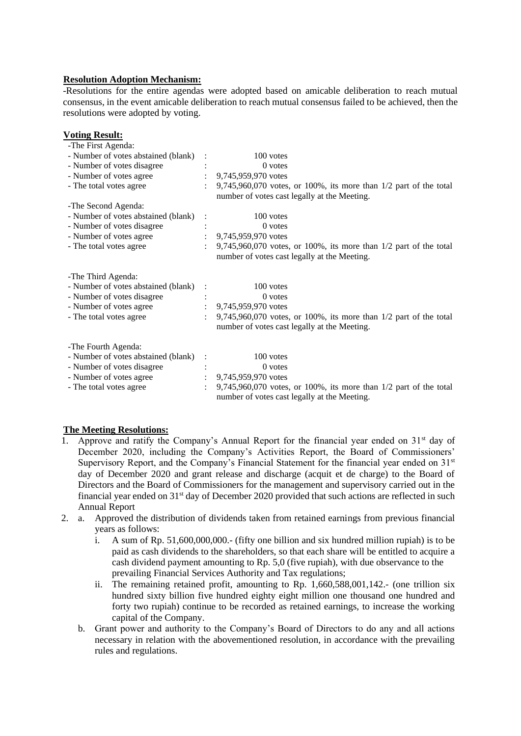# **Resolution Adoption Mechanism:**

-Resolutions for the entire agendas were adopted based on amicable deliberation to reach mutual consensus, in the event amicable deliberation to reach mutual consensus failed to be achieved, then the resolutions were adopted by voting.

| <b>Voting Result:</b><br>-The First Agenda: |                |                                                                                                                       |
|---------------------------------------------|----------------|-----------------------------------------------------------------------------------------------------------------------|
| - Number of votes abstained (blank)         |                | 100 votes                                                                                                             |
| - Number of votes disagree                  |                | $0$ votes                                                                                                             |
| - Number of votes agree                     |                | 9,745,959,970 votes                                                                                                   |
| - The total votes agree                     |                | $9,745,960,070$ votes, or 100%, its more than $1/2$ part of the total<br>number of votes cast legally at the Meeting. |
| -The Second Agenda:                         |                |                                                                                                                       |
| - Number of votes abstained (blank)         |                | $100$ votes                                                                                                           |
| - Number of votes disagree                  |                | $0$ votes                                                                                                             |
| - Number of votes agree                     |                | 9,745,959,970 votes                                                                                                   |
| - The total votes agree                     |                | 9,745,960,070 votes, or 100%, its more than 1/2 part of the total<br>number of votes cast legally at the Meeting.     |
| -The Third Agenda:                          |                |                                                                                                                       |
| - Number of votes abstained (blank)         |                | 100 votes                                                                                                             |
| - Number of votes disagree                  |                | 0 votes                                                                                                               |
| - Number of votes agree                     | $\ddot{\cdot}$ | 9,745,959,970 votes                                                                                                   |
| - The total votes agree                     |                | 9,745,960,070 votes, or 100%, its more than 1/2 part of the total<br>number of votes cast legally at the Meeting.     |
| -The Fourth Agenda:                         |                |                                                                                                                       |
| - Number of votes abstained (blank)         |                | 100 votes                                                                                                             |
| - Number of votes disagree                  |                | 0 votes                                                                                                               |
| - Number of votes agree                     | $\ddot{\cdot}$ | 9,745,959,970 votes                                                                                                   |
| - The total votes agree                     |                | $9,745,960,070$ votes, or 100%, its more than $1/2$ part of the total<br>number of votes cast legally at the Meeting. |

# **The Meeting Resolutions:**

- 1. Approve and ratify the Company's Annual Report for the financial year ended on  $31<sup>st</sup>$  day of December 2020, including the Company's Activities Report, the Board of Commissioners' Supervisory Report, and the Company's Financial Statement for the financial year ended on 31<sup>st</sup> day of December 2020 and grant release and discharge (acquit et de charge) to the Board of Directors and the Board of Commissioners for the management and supervisory carried out in the financial year ended on 31st day of December 2020 provided that such actions are reflected in such Annual Report
- 2. a. Approved the distribution of dividends taken from retained earnings from previous financial years as follows:
	- i. A sum of Rp. 51,600,000,000.- (fifty one billion and six hundred million rupiah) is to be paid as cash dividends to the shareholders, so that each share will be entitled to acquire a cash dividend payment amounting to Rp. 5,0 (five rupiah), with due observance to the prevailing Financial Services Authority and Tax regulations;
	- ii. The remaining retained profit, amounting to Rp. 1,660,588,001,142.- (one trillion six hundred sixty billion five hundred eighty eight million one thousand one hundred and forty two rupiah) continue to be recorded as retained earnings, to increase the working capital of the Company.
	- b. Grant power and authority to the Company's Board of Directors to do any and all actions necessary in relation with the abovementioned resolution, in accordance with the prevailing rules and regulations.